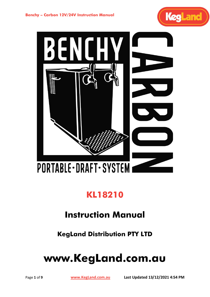

# **KL18210**

# **Instruction Manual**

**KegLand Distribution PTY LTD**

# **www.KegLand.com.au**

Page **1** of **9 [www.KegLand.com.au](http://www.kegland.com.au/) Last Updated 13/12/2021 4:54 PM**

KegLand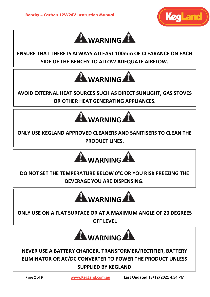



**ENSURE THAT THERE IS ALWAYS ATLEAST 100mm OF CLEARANCE ON EACH SIDE OF THE BENCHY TO ALLOW ADEQUATE AIRFLOW.** 



**AVOID EXTERNAL HEAT SOURCES SUCH AS DIRECT SUNLIGHT, GAS STOVES OR OTHER HEAT GENERATING APPLIANCES.**



**ONLY USE KEGLAND APPROVED CLEANERS AND SANITISERS TO CLEAN THE PRODUCT LINES.**



**DO NOT SET THE TEMPERATURE BELOW 0°C OR YOU RISK FREEZING THE BEVERAGE YOU ARE DISPENSING.**



**ONLY USE ON A FLAT SURFACE OR AT A MAXIMUM ANGLE OF 20 DEGREES OFF LEVEL**



**NEVER USE A BATTERY CHARGER, TRANSFORMER/RECTIFIER, BATTERY ELIMINATOR OR AC/DC CONVERTER TO POWER THE PRODUCT UNLESS SUPPLIED BY KEGLAND**

Page **2** of **9 [www.KegLand.com.au](http://www.kegland.com.au/) Last Updated 13/12/2021 4:54 PM**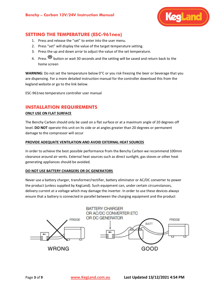

# **SETTING THE TEMPERATURE (ESC-961neo)**

- 1. Press and release the "set" to enter into the user menu.
- 2. Press "set" will display the value of the target temperature setting.
- 3. Press the up and down arror to adjust the value of the set temperature.
- 4. Press  $\frac{356}{256}$  button or wait 30 seconds and the setting will be saved and return back to the home screen

**WARNING:** Do not set the temperature below 0°C or you risk freezing the beer or beverage that you are dispensing. For a more detailed instruction manual for the controller download this from the kegland website or go to the link below.

ESC-961neo temperature controller user manual

### **INSTALLATION REQUIREMENTS**

#### **ONLY USE ON FLAT SURFACE**

The Benchy Carbon should only be used on a flat surface or at a maximum angle of 20 degrees off level. **DO NOT** operate this unit on its side or at angles greater than 20 degrees or permanent damage to the compressor will occur

#### **PROVIDE ADEQUATE VENTILATION AND AVOID EXTERNAL HEAT SOURCES**

In order to achieve the best possible performance from the Benchy Carbon we recommend 100mm clearance around air vents. External heat sources such as direct sunlight, gas stoves or other heat generating appliances should be avoided.

#### **DO NOT USE BATTERY CHARGERS OR DC GENERATORS**

Never use a battery charger, transformer/rectifier, battery eliminator or AC/DC converter to power the product (unless supplied by KegLand). Such equipment can, under certain circumstances, delivery current at a voltage which may damage the inverter. In order to use these devices always ensure that a battery is connected in parallel between the charging equipment and the product

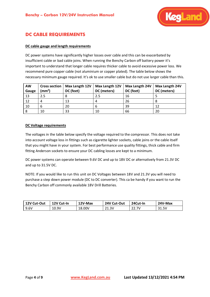

# **DC CABLE REQUIREMENTS**

#### **DC cable gauge and length requirements**

DC power systems have significantly higher losses over cable and this can be exacerbated by insufficient cable or bad cable joins. When running the Benchy Carbon off battery power it's important to understand that longer cable requires thicker cable to avoid excessive power loss. We recommend pure copper cable (not aluminium or copper plated). The table below shows the necessary minimum gauge required. It's ok to use smaller cable but do not use larger cable than this.

| <b>AW</b><br>Gauge | <b>Cross section</b><br>$\textsf{(mm}^2)$ | Max Length 12V<br>DC (feet) | Max Length 12V<br>DC (meters) | Max Length 24V<br>DC (feet) | Max Length 24V<br>DC (meters) |
|--------------------|-------------------------------------------|-----------------------------|-------------------------------|-----------------------------|-------------------------------|
| 13                 | 2.5                                       |                             | 2.5                           | 16                          |                               |
| 12                 |                                           | 13                          |                               | 26                          |                               |
| 10                 |                                           | 20                          | h                             | 39                          | 12                            |
| 8                  | 10                                        | 33                          | 10                            | 66                          | 20                            |

#### **DC Voltage requirements**

The voltages in the table below specify the voltage required to the compressor. This does not take into account voltage loss in fittings such as cigarette lighter sockets, cable joins or the cable itself that you might have in your system. For best performance use quality fittings, thick cable and firm fitting Anderson sockets to ensure your DC cabling losses are kept to a minimum.

DC power systems can operate between 9.6V DC and up to 18V DC or alternatively from 21.3V DC and up to 31.5V DC.

NOTE: If you would like to run this unit on DC Voltages between 18V and 21.3V you will need to purchase a step down power module (DC to DC converter). This ca be handy if you want to run the Benchy Carbon off commonly available 18V Drill Batteries.

| 12V Cut-Out | 12V Cut-In | 12V-Max | 24V Cut-Out | 24Cut-In | 24V-Max |
|-------------|------------|---------|-------------|----------|---------|
| 9.6V        | 10.9V      | 18.00V  | 21.3V       | 22.7V    | 31.5V   |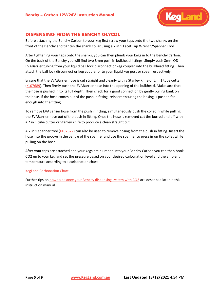

## **DISPENSING FROM THE BENCHY GLYCOL**

Before attaching the Benchy Carbon to your keg first screw your taps onto the two shanks on the front of the Benchy and tighten the shank collar using a 7 in 1 Facet Tap Wrench/Spanner Tool.

After tightening your taps onto the shanks, you can then plumb your kegs in to the Benchy Carbon. On the back of the Benchy you will find two 8mm push in bulkhead fittings. Simply push 8mm OD EVABarrier tubing from your liquid ball lock disconnect or keg coupler into the bulkhead fitting. Then attach the ball lock disconnect or keg coupler onto your liquid keg post or spear respectively.

Ensure that the EVABarrier hose is cut straight and cleanly with a Stanley knife or 2 in 1 tube cutter [\(KL07689\)](https://www.kegland.com.au/tube-cutter-pipe-cutter-2-in-1-for-evabarrier-pex-hdpe-vinyl-tubing.html). Then firmly push the EVABarrier hose into the opening of the bulkhead. Make sure that the hose is pushed in to its full depth. Then check for a good connection by gently pulling bank on the hose. If the hose comes out of the push in fitting, reinsert ensuring the hosing is pushed far enough into the fitting.

To remove EVABarrier hose from the push in fitting, simultaneously push the collet in while pulling the EVABarrier hose out of the push in fitting. Once the hose is removed cut the burred end off with a 2 in 1 tube cutter or Stanley knife to produce a clean straight cut.

A 7 in 1 spanner tool [\(KL07672\)](https://www.kegland.com.au/7-in-1-faucet-tap-wrench-spanner-tool-duotight-tube-remover.html) can also be used to remove hosing from the push in fitting. Insert the hose into the groove in the centre of the spanner and use the spanner to press in on the collet while pulling on the hose.

After your taps are attached and your kegs are plumbed into your Benchy Carbon you can then hook CO2 up to your keg and set the pressure based on your desired carbonation level and the ambient temperature according to a carbonation chart.

#### [KegLand Carbonation Chart](https://www.kegland.com.au/media/images/KegLand%20Set%20&%20Forget%20CO2%20Carbonation%20Chart.png)

Further tips on how to balance your Benchy dispensing system with CO2 are described later in this instruction manual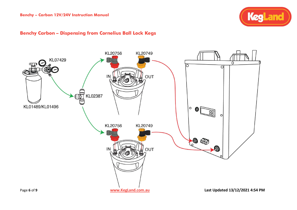

# **Benchy Carbon – Dispensing from Cornelius Ball Lock Kegs**

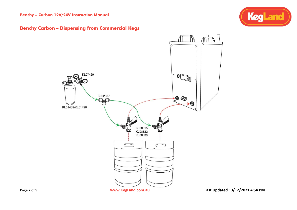**Benchy – Carbon 12V/24V Instruction Manual**





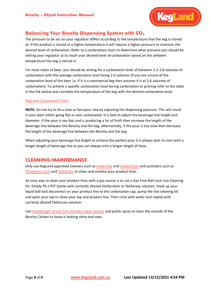

# **Balancing Your Benchy Dispensing System with CO<sup>2</sup>**

The pressure to be set on your regulator differs according to the temperature that the keg is stored at. If the product is stored at a higher temperature it will require a higher pressure to maintain the desired level of carbonation. Refer to a carbonation chart to determine what pressure you should be setting your regulator at to reach your desired level of carbonation based on the ambient temperature the keg is stored in.

For most styles of beer, you should be aiming for a carbonation level of between 2.3-2.8 volumes of carbonation with the average carbonation level being 2.6 volumes (if you are unsure of the carbonation level of the beer i.e. if it is a commercial keg then assume it is at 2.6 volumes of carbonation). To achieve a specific carbonation level during carbonation or priming refer to the table in the link below and correlate the temperature of the keg with the desired carbonation level.

#### [KegLand Carbonation Chart](https://www.kegland.com.au/media/images/KegLand%20Set%20&%20Forget%20CO2%20Carbonation%20Chart.png)

**NOTE:** Do not try to fix a slow or fast pour rate by adjusting the dispensing pressure. This will result in your beer either going flat or over carbonated. It is best to adjust the beverage line length and diameter. If the pour is too fast and is producing a lot of froth then increase the length of the beverage line between the Benchy and the keg. Alternatively, if the pour is too slow then decrease the length of the beverage line between the Benchy and the keg.

When adjusting your beverage line length to achieve the perfect pour it is always best to start with a longer length of beverage line as you can always trim a longer length of hose.

# **CLEANING/MAINTENANCE**

Only use KegLand approved cleaners such as [StellarOxy](https://www.kegland.com.au/stellaroxy-100-sodium-percarbonate.html) an[d StellarClean](https://www.kegland.com.au/stellarclean-pbw-powerful-brewing-wash-brewery-cleaner-beer-line-cleaner-keg-wash.html) and sanitisers such as [Phosphoric acid](https://www.kegland.com.au/pure-phosphoric-acid-85-pure-500ml.html) and [StellarSan](https://www.kegland.com.au/phosphoric-acid-blend-sanitiser-500ml-starsan.html) to clean and sanitise your product lines.

An easy way to clean your product lines with a gas source is to use a Gas Free Ball Lock Line Cleaning Kit. Simply fill a PET bottle with correctly diluted Stellarclean or Stellaroxy solution. Hook up your liquid ball lock disconnect on your product line to the carbonation cap, pump the line cleaning kit and open your tap to clean your tap and product line. Then rinse with water and repeat with correctly diluted Stellarsan solution.

Use [Homebright streak free stainless steal cleaner](https://www.kegland.com.au/homebright-streak-free-stainless-steel-cleaner-polish-269g.html) and polish spray to clean the outside of the Benchy Carbon to leave it looking shiny and new.